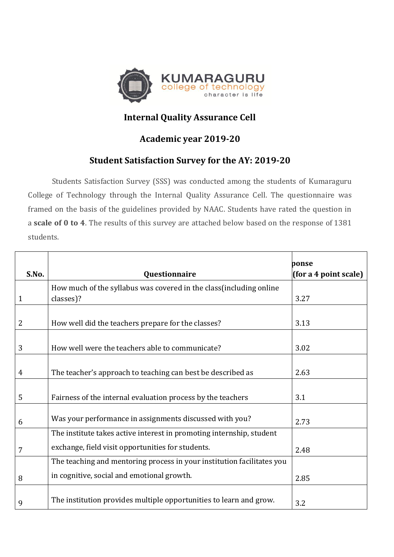

## **Internal Quality Assurance Cell**

## **Academic year 2019-20**

## **Student Satisfaction Survey for the AY: 2019-20**

Students Satisfaction Survey (SSS) was conducted among the students of Kumaraguru College of Technology through the Internal Quality Assurance Cell. The questionnaire was framed on the basis of the guidelines provided by NAAC. Students have rated the question in a **scale of 0 to 4**. The results of this survey are attached below based on the response of 1381 students.

|                |                                                                        | ponse                 |
|----------------|------------------------------------------------------------------------|-----------------------|
| S.No.          | Questionnaire                                                          | (for a 4 point scale) |
|                | How much of the syllabus was covered in the class (including online    |                       |
| 1              | classes)?                                                              | 3.27                  |
|                |                                                                        |                       |
| 2              | How well did the teachers prepare for the classes?                     | 3.13                  |
|                |                                                                        |                       |
| 3              | How well were the teachers able to communicate?                        | 3.02                  |
|                |                                                                        |                       |
| $\overline{4}$ | The teacher's approach to teaching can best be described as            | 2.63                  |
|                |                                                                        |                       |
| 5              | Fairness of the internal evaluation process by the teachers            | 3.1                   |
|                |                                                                        |                       |
| 6              | Was your performance in assignments discussed with you?                | 2.73                  |
|                | The institute takes active interest in promoting internship, student   |                       |
| 7              | exchange, field visit opportunities for students.                      | 2.48                  |
|                | The teaching and mentoring process in your institution facilitates you |                       |
| 8              | in cognitive, social and emotional growth.                             | 2.85                  |
|                |                                                                        |                       |
| 9              | The institution provides multiple opportunities to learn and grow.     | 3.2                   |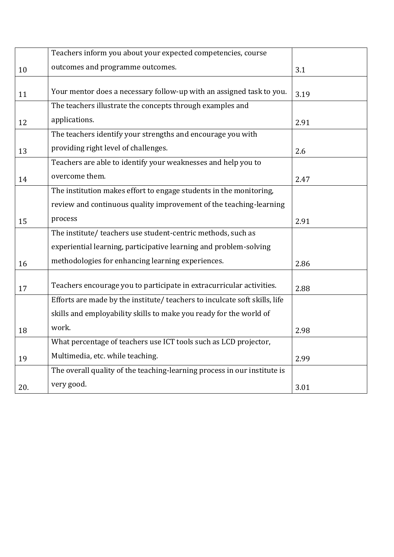|     | Teachers inform you about your expected competencies, course               |      |
|-----|----------------------------------------------------------------------------|------|
| 10  | outcomes and programme outcomes.                                           | 3.1  |
|     |                                                                            |      |
| 11  | Your mentor does a necessary follow-up with an assigned task to you.       | 3.19 |
|     | The teachers illustrate the concepts through examples and                  |      |
| 12  | applications.                                                              | 2.91 |
|     | The teachers identify your strengths and encourage you with                |      |
| 13  | providing right level of challenges.                                       | 2.6  |
|     | Teachers are able to identify your weaknesses and help you to              |      |
| 14  | overcome them.                                                             | 2.47 |
|     | The institution makes effort to engage students in the monitoring,         |      |
|     | review and continuous quality improvement of the teaching-learning         |      |
| 15  | process                                                                    | 2.91 |
|     | The institute/ teachers use student-centric methods, such as               |      |
|     | experiential learning, participative learning and problem-solving          |      |
| 16  | methodologies for enhancing learning experiences.                          | 2.86 |
| 17  | Teachers encourage you to participate in extracurricular activities.       | 2.88 |
|     | Efforts are made by the institute/ teachers to inculcate soft skills, life |      |
|     | skills and employability skills to make you ready for the world of         |      |
|     | work.                                                                      |      |
| 18  |                                                                            | 2.98 |
|     | What percentage of teachers use ICT tools such as LCD projector,           |      |
| 19  | Multimedia, etc. while teaching.                                           | 2.99 |
|     | The overall quality of the teaching-learning process in our institute is   |      |
| 20. | very good.                                                                 | 3.01 |